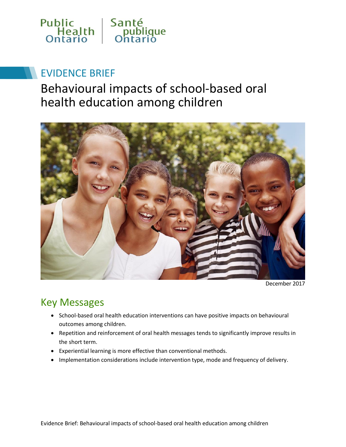

# EVIDENCE BRIEF

Behavioural impacts of school-based oral health education among children



December 2017

# Key Messages

- School-based oral health education interventions can have positive impacts on behavioural outcomes among children.
- Repetition and reinforcement of oral health messages tends to significantly improve results in the short term.
- Experiential learning is more effective than conventional methods.
- Implementation considerations include intervention type, mode and frequency of delivery.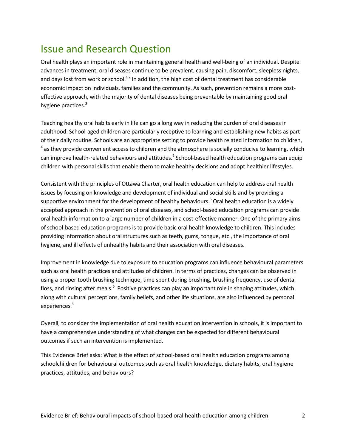# Issue and Research Question

 Oral health plays an important role in maintaining general health and well-being of an individual. Despite advances in treatment, oral diseases continue to be prevalent, causing pain, discomfort, sleepless nights, and days lost from work or school.<sup>1,2</sup> In addition, the high cost of dental treatment has considerable economic impact on individuals, families and the community. As such, prevention remains a more cost- effective approach, with the majority of dental diseases being preventable by maintaining good oral hygiene practices.<sup>3</sup>

 Teaching healthy oral habits early in life can go a long way in reducing the burden of oral diseases in adulthood. School-aged children are particularly receptive to learning and establishing new habits as part of their daily routine. Schools are an appropriate setting to provide health related information to children, of their daily routine. Schools are an appropriate setting to provide health related information to children,<br><sup>4</sup> as they provide convenient access to children and the atmosphere is socially conducive to learning, which can improve health-related behaviours and attitudes.<sup>2</sup> School-based health education programs can equip children with personal skills that enable them to make healthy decisions and adopt healthier lifestyles.

 Consistent with the principles of Ottawa Charter, oral health education can help to address oral health issues by focusing on knowledge and development of individual and social skills and by providing a supportive environment for the development of healthy behaviours.<sup>5</sup> Oral health education is a widely accepted approach in the prevention of oral diseases, and school-based education programs can provide oral health information to a large number of children in a cost-effective manner. One of the primary aims of school-based education programs is to provide basic oral health knowledge to children. This includes providing information about oral structures such as teeth, gums, tongue, etc., the importance of oral hygiene, and ill effects of unhealthy habits and their association with oral diseases.

 Improvement in knowledge due to exposure to education programs can influence behavioural parameters such as oral health practices and attitudes of children. In terms of practices, changes can be observed in using a proper tooth brushing technique, time spent during brushing, brushing frequency, use of dental floss, and rinsing after meals.<sup>6</sup> Positive practices can play an important role in shaping attitudes, which along with cultural perceptions, family beliefs, and other life situations, are also influenced by personal experiences.<sup>4</sup>

 Overall, to consider the implementation of oral health education intervention in schools, it is important to have a comprehensive understanding of what changes can be expected for different behavioural outcomes if such an intervention is implemented.

practices, attitudes, and behaviours?<br>Evidence Brief: Behavioural impacts of school-based oral health education among children 2 This Evidence Brief asks: What is the effect of school-based oral health education programs among practices, attitudes, and behaviours? schoolchildren for behavioural outcomes such as oral health knowledge, dietary habits, oral hygiene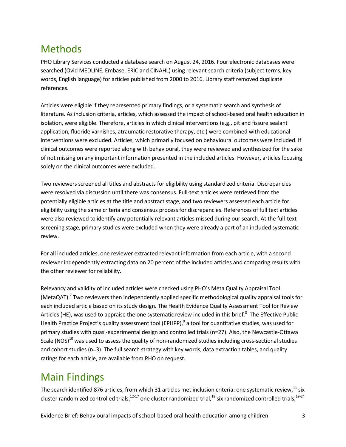# Methods

 PHO Library Services conducted a database search on August 24, 2016. Four electronic databases were searched (Ovid MEDLINE, Embase, ERIC and CINAHL) using relevant search criteria (subject terms, key words, English language) for articles published from 2000 to 2016. Library staff removed duplicate references.

references.<br>Articles were eligible if they represented primary findings, or a systematic search and synthesis of literature. As inclusion criteria, articles, which assessed the impact of school-based oral health education in isolation, were eligible. Therefore, articles in which clinical interventions (e.g., pit and fissure sealant application, fluoride varnishes, atraumatic restorative therapy, etc.) were combined with educational interventions were excluded. Articles, which primarily focused on behavioural outcomes were included. If clinical outcomes were reported along with behavioural, they were reviewed and synthesized for the sake of not missing on any important information presented in the included articles. However, articles focusing solely on the clinical outcomes were excluded.

 Two reviewers screened all titles and abstracts for eligibility using standardized criteria. Discrepancies were resolved via discussion until there was consensus. Full-text articles were retrieved from the potentially eligible articles at the title and abstract stage, and two reviewers assessed each article for eligibility using the same criteria and consensus process for discrepancies. References of full text articles were also reviewed to identify any potentially relevant articles missed during our search. At the full-text screening stage, primary studies were excluded when they were already a part of an included systematic review.

 For all included articles, one reviewer extracted relevant information from each article, with a second reviewer independently extracting data on 20 percent of the included articles and comparing results with the other reviewer for reliability.

Relevancy and validity of included articles were checked using PHO's Meta Quality Appraisal Tool (MetaQAT).<sup>7</sup> Two reviewers then independently applied specific methodological quality appraisal tools for each included article based on its study design. The Health Evidence Quality Assessment Tool for Review Articles (HE), was used to appraise the one systematic review included in this brief.<sup>8</sup> The Effective Public Health Practice Project's quality assessment tool (EPHPP),<sup>9</sup> a tool for quantitative studies, was used for primary studies with quasi-experimental design and controlled trials (n=27). Also, the Newcastle-Ottawa Scale (NOS)<sup>10</sup> was used to assess the quality of non-randomized studies including cross-sectional studies and cohort studies (n=3). The full search strategy with key words, data extraction tables, and quality ratings for each article, are available from PHO on request.

# Main Findings

cluster randomized controlled trials,<sup>12-17</sup> one cluster randomized trial,<sup>18</sup> six randomized controlled trials,<sup>19-24</sup> The search identified 876 articles, from which 31 articles met inclusion criteria: one systematic review, $^{11}$  six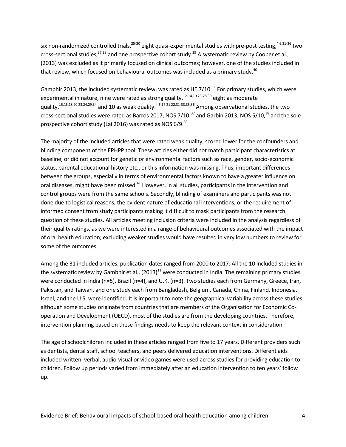six non-randomized controlled trials, $^{25\text{-}30}$  eight quasi-experimental studies with pre-post testing, $^{4,6,31\text{-}36}$  two cross-sectional studies,<sup>37,38</sup> and one prospective cohort study.<sup>39</sup> A systematic review by Cooper et al., (2013) was excluded as it primarily focused on clinical outcomes; however, one of the studies included in that review, which focused on behavioural outcomes was included as a primary study.<sup>40</sup>

Gambhir 2013, the included systematic review, was rated as HE 7/10. $^{11}$  For primary studies, which were experimental in nature, nine were rated as strong quality,<sup>12-14,19,25-28,30</sup> eight as moderate quality,<sup>15,16,18,20,23,24,29,34</sup> and 10 as weak quality.<sup>4,6,17,21,22,31-33,35,36</sup> Among observational studies, the two cross-sectional studies were rated as Barros 2017, NOS 7/10; $^{37}$  and Garbin 2013, NOS 5/10, $^{38}$  and the sole prospective cohort study (Lai 2016) was rated as NOS 6/9. $^{39}$ 

 The majority of the included articles that were rated weak quality, scored lower for the confounders and blinding component of the EPHPP tool. These articles either did not match participant characteristics at baseline, or did not account for genetic or environmental factors such as race, gender, socio-economic status, parental educational history etc., or this information was missing. Thus, important differences between the groups, especially in terms of environmental factors known to have a greater influence on oral diseases, might have been missed.<sup>41</sup> However, in all studies, participants in the intervention and control groups were from the same schools. Secondly, blinding of examiners and participants was not done due to logistical reasons, the evident nature of educational interventions, or the requirement of informed consent from study participants making it difficult to mask participants from the research question of these studies. All articles meeting inclusion criteria were included in the analysis regardless of their quality ratings, as we were interested in a range of behavioural outcomes associated with the impact of oral health education; excluding weaker studies would have resulted in very low numbers to review for some of the outcomes.

 Among the 31 included articles, publication dates ranged from 2000 to 2017. All the 10 included studies in the systematic review by Gambhir et al., (2013)<sup>11</sup> were conducted in India. The remaining primary studies were conducted in India (n=5), Brazil (n=4), and U.K. (n=3). Two studies each from Germany, Greece, Iran, Pakistan, and Taiwan, and one study each from Bangladesh, Belgium, Canada, China, Finland, Indonesia, Israel, and the U.S. were identified. It is important to note the geographical variability across these studies; although some studies originate from countries that are members of the Organisation for Economic Co- operation and Development (OECD), most of the studies are from the developing countries. Therefore, intervention planning based on these findings needs to keep the relevant context in consideration.

 The age of schoolchildren included in these articles ranged from five to 17 years. Different providers such as dentists, dental staff, school teachers, and peers delivered education interventions. Different aids included written, verbal, audio-visual or video games were used across studies for providing education to children. Follow up periods varied from immediately after an education intervention to ten years' follow up.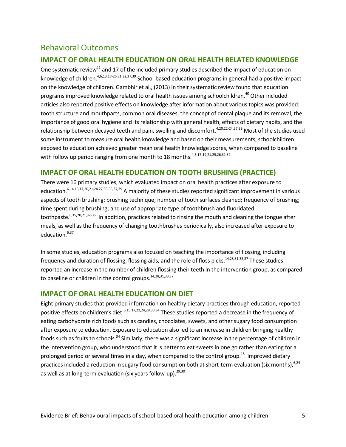#### Behavioral Outcomes

#### **IMPACT OF ORAL HEALTH EDUCATION ON ORAL HEALTH RELATED KNOWLEDGE**

One systematic review<sup>11</sup> and 17 of the included primary studies described the impact of education on knowledge of children.<sup>4,6,13,17-26,31,32,37,39</sup> School-based education programs in general had a positive impact on the knowledge of children. Gambhir et al., (2013) in their systematic review found that education programs improved knowledge related to oral health issues among schoolchildren.<sup>40</sup> Other included articles also reported positive effects on knowledge after information about various topics was provided: tooth structure and mouthparts, common oral diseases, the concept of dental plaque and its removal, the importance of good oral hygiene and its relationship with general health, effects of dietary habits, and the relationship between decayed teeth and pain, swelling and discomfort.<sup>4,20,22-24,37,39</sup> Most of the studies used some instrument to measure oral health knowledge and based on their measurements, schoolchildren exposed to education achieved greater mean oral health knowledge scores, when compared to baseline with follow up period ranging from one month to 18 months.  $4,6,17$ -19,21,25,26,31,32

#### **IMPACT OF ORAL HEALTH EDUCATION ON TOOTH BRUSHING (PRACTICE)**

 There were 16 primary studies, which evaluated impact on oral health practices after exposure to education.<sup>6,14,15,17,20,21,24,27,30-35,37,39</sup> A majority of these studies reported significant improvement in various aspects of tooth brushing: brushing technique; number of tooth surfaces cleaned; frequency of brushing; time spent during brushing; and use of appropriate type of toothbrush and fluoridated toothpaste.<sup>6,15,20,21,32-35</sup> In addition, practices related to rinsing the mouth and cleaning the tongue after meals, as well as the frequency of changing toothbrushes periodically, also increased after exposure to education.<sup>6,37</sup>

 In some studies, education programs also focused on teaching the importance of flossing, including frequency and duration of flossing, flossing aids, and the role of floss picks.<sup>14,28,31,33,37</sup> These studies reported an increase in the number of children flossing their teeth in the intervention group, as compared to baseline or children in the control groups.<sup>14,28,31,33,37</sup>

#### **IMPACT OF ORAL HEALTH EDUCATION ON DIET**

 Eight primary studies that provided information on healthy dietary practices through education, reported positive effects on children's diet.<sup>6,15,17,21,24,29,30,34</sup> These studies reported a decrease in the frequency of eating carbohydrate rich foods such as candies, chocolates, sweets, and other sugary food consumption after exposure to education. Exposure to education also led to an increase in children bringing healthy foods such as fruits to schools. $^{34}$  Similarly, there was a significant increase in the percentage of children in the intervention group, who understood that it is better to eat sweets in one go rather than eating for a prolonged period or several times in a day, when compared to the control group.<sup>15</sup> Improved dietary practices included a reduction in sugary food consumption both at short-term evaluation (six months),  $6,24$ as well as at long-term evaluation (six years follow-up).  $^{29,30}$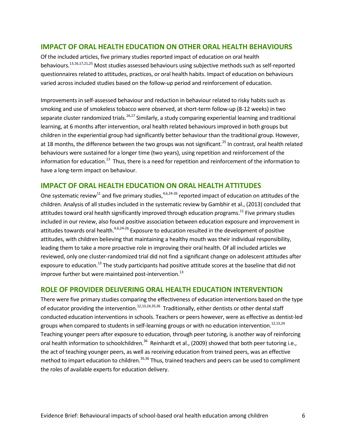#### **IMPACT OF ORAL HEALTH EDUCATION ON OTHER ORAL HEALTH BEHAVIOURS**

 Of the included articles, five primary studies reported impact of education on oral health behaviours.<sup>13,16,17,21,25</sup> Most studies assessed behaviours using subjective methods such as self-reported questionnaires related to attitudes, practices, or oral health habits. Impact of education on behaviours varied across included studies based on the follow-up period and reinforcement of education.

 Improvements in self-assessed behaviour and reduction in behaviour related to risky habits such as smoking and use of smokeless tobacco were observed, at short-term follow-up (8-12 weeks) in two separate cluster randomized trials.<sup>16,17</sup> Similarly, a study comparing experiential learning and traditional learning, at 6 months after intervention, oral health related behaviours improved in both groups but children in the experiential group had significantly better behaviour than the traditional group. However, at 18 months, the difference between the two groups was not significant.<sup>25</sup> In contrast, oral health related behaviours were sustained for a longer time (two years), using repetition and reinforcement of the information for education.<sup>13</sup> Thus, there is a need for repetition and reinforcement of the information to have a long-term impact on behaviour.

#### **IMPACT OF ORAL HEALTH EDUCATION ON ORAL HEALTH ATTITUDES**

One systematic review<sup>11</sup> and five primary studies,<sup>4,6,24-26</sup> reported impact of education on attitudes of the children. Analysis of all studies included in the systematic review by Gambhir et al., (2013) concluded that attitudes toward oral health significantly improved through education programs. $^{11}$  Five primary studies included in our review, also found positive association between education exposure and improvement in attitudes towards oral health.<sup>4,6,24-26</sup> Exposure to education resulted in the development of positive attitudes, with children believing that maintaining a healthy mouth was their individual responsibility, leading them to take a more proactive role in improving their oral health. Of all included articles we reviewed, only one cluster-randomized trial did not find a significant change on adolescent attitudes after exposure to education.<sup>13</sup> The study participants had positive attitude scores at the baseline that did not improve further but were maintained post-intervention.<sup>13</sup>

#### **ROLE OF PROVIDER DELIVERING ORAL HEALTH EDUCATION INTERVENTION**

 There were five primary studies comparing the effectiveness of education interventions based on the type of educator providing the intervention.<sup>12,13,24,35,36</sup> Traditionally, either dentists or other dental staff conducted education interventions in schools. Teachers or peers however, were as effective as dentist-led groups when compared to students in self-learning groups or with no education intervention. $^{12,13,24}$  Teaching younger peers after exposure to education, through peer tutoring, is another way of reinforcing oral health information to schoolchildren.<sup>36</sup> Reinhardt et al., (2009) showed that both peer tutoring i.e., the act of teaching younger peers, as well as receiving education from trained peers, was an effective method to impart education to children.<sup>35,36</sup> Thus, trained teachers and peers can be used to compliment the roles of available experts for education delivery.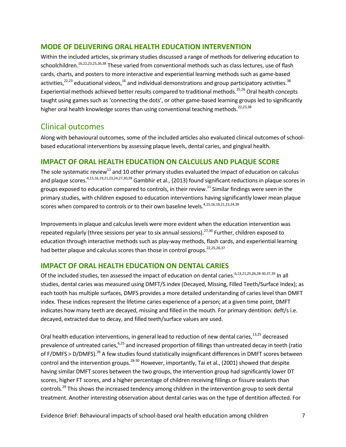#### **MODE OF DELIVERING ORAL HEALTH EDUCATION INTERVENTION**

 Within the included articles, six primary studies discussed a range of methods for delivering education to schoolchildren.<sup>16,22,23,25,26,38</sup> These varied from conventional methods such as class lectures, use of flash cards, charts, and posters to more interactive and experiential learning methods such as game-based activities, $^{22,23}$  educational videos, $^{16}$  and individual demonstrations and group participatory activities. $^{38}$ Experiential methods achieved better results compared to traditional methods.<sup>25,26</sup> Oral health concepts taught using games such as 'connecting the dots', or other game-based learning groups led to significantly higher oral health knowledge scores than using conventional teaching methods.<sup>22,23,38</sup>

#### Clinical outcomes

 Along with behavioural outcomes, some of the included articles also evaluated clinical outcomes of school-based educational interventions by assessing plaque levels, dental caries, and gingival health.

#### **IMPACT OF ORAL HEALTH EDUCATION ON CALCULUS AND PLAQUE SCORE**

The sole systematic review $^{11}$  and 10 other primary studies evaluated the impact of education on calculus and plaque scores.<sup>4,15,16,19,21,23,24,27,30,39</sup> Gambhir et al., (2013) found significant reductions in plaque scores in groups exposed to education compared to controls, in their review. $^{11}$  Similar findings were seen in the primary studies, with children exposed to education interventions having significantly lower mean plaque scores when compared to controls or to their own baseline levels.<sup>4,15,16,19,21,23,24,39</sup>

 Improvements in plaque and calculus levels were more evident when the education intervention was repeated regularly (three sessions per year to six annual sessions).<sup>27,30</sup> Further, children exposed to education through interactive methods such as play-way methods, flash cards, and experiential learning had better plaque and calculus scores than those in control groups.<sup>22,25,26,37</sup>

#### **IMPACT OF ORAL HEALTH EDUCATION ON DENTAL CARIES**

Of the included studies, ten assessed the impact of education on dental caries.<sup>6,13,21,25,26,28-30,37,39</sup> In all studies, dental caries was measured using DMFT/S index (Decayed, Missing, Filled Teeth/Surface Index); as each tooth has multiple surfaces, DMFS provides a more detailed understanding of caries level than DMFT index. These indices represent the lifetime caries experience of a person; at a given time point, DMFT indicates how many teeth are decayed, missing and filled in the mouth. For primary dentition: deft/s i.e. decayed, extracted due to decay, and filled teeth/surface values are used.

Oral health education interventions, in general lead to reduction of new dental caries,<sup>13,25</sup> decreased prevalence of untreated caries,<sup>6,25</sup> and increased proportion of fillings than untreated decay in teeth (ratio of F/DMFS > D/DMFS).<sup>39</sup> A few studies found statistically insignificant differences in DMFT scores between control and the intervention groups.<sup>28-30</sup> However, importantly, Tai et al., (2001) showed that despite having similar DMFT scores between the two groups, the intervention group had significantly lower DT scores, higher FT scores, and a higher percentage of children receiving fillings or fissure sealants than controls.<sup>29</sup> This shows the increased tendency among children in the intervention group to seek dental treatment. Another interesting observation about dental caries was on the type of dentition affected. For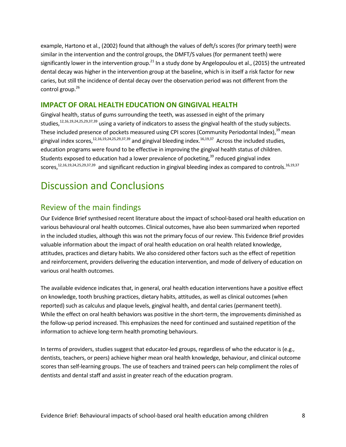example, Hartono et al., (2002) found that although the values of deft/s scores (for primary teeth) were similar in the intervention and the control groups, the DMFT/S values (for permanent teeth) were significantly lower in the intervention group.<sup>21</sup> In a study done by Angelopoulou et al., (2015) the untreated dental decay was higher in the intervention group at the baseline, which is in itself a risk factor for new caries, but still the incidence of dental decay over the observation period was not different from the control group.<sup>26</sup>

#### **IMPACT OF ORAL HEALTH EDUCATION ON GINGIVAL HEALTH**

 Gingival health, status of gums surrounding the teeth, was assessed in eight of the primary studies,<sup>12,16,19,24,25,29,37,39</sup> using a variety of indicators to assess the gingival health of the study subjects. These included presence of pockets measured using CPI scores (Community Periodontal Index), $^{39}$  mean gingival index scores,  $^{12,16,19,24,25,29,37,39}$  and gingival bleeding index.  $^{16,19,37}$  Across the included studies, education programs were found to be effective in improving the gingival health status of children. Students exposed to education had a lower prevalence of pocketing,<sup>39</sup> reduced gingival index scores, $^{12,16,19,24,25,29,37,39}$  and significant reduction in gingival bleeding index as compared to controls. $^{16,19,37}$ 

# Discussion and Conclusions

#### Review of the main findings

 Our Evidence Brief synthesised recent literature about the impact of school-based oral health education on various behavioural oral health outcomes. Clinical outcomes, have also been summarized when reported in the included studies, although this was not the primary focus of our review. This Evidence Brief provides valuable information about the impact of oral health education on oral health related knowledge, attitudes, practices and dietary habits. We also considered other factors such as the effect of repetition and reinforcement, providers delivering the education intervention, and mode of delivery of education on various oral health outcomes.

 The available evidence indicates that, in general, oral health education interventions have a positive effect on knowledge, tooth brushing practices, dietary habits, attitudes, as well as clinical outcomes (when reported) such as calculus and plaque levels, gingival health, and dental caries (permanent teeth). While the effect on oral health behaviors was positive in the short-term, the improvements diminished as the follow-up period increased. This emphasizes the need for continued and sustained repetition of the information to achieve long-term health promoting behaviours.

 In terms of providers, studies suggest that educator-led groups, regardless of who the educator is (e.g., dentists, teachers, or peers) achieve higher mean oral health knowledge, behaviour, and clinical outcome scores than self-learning groups. The use of teachers and trained peers can help compliment the roles of dentists and dental staff and assist in greater reach of the education program.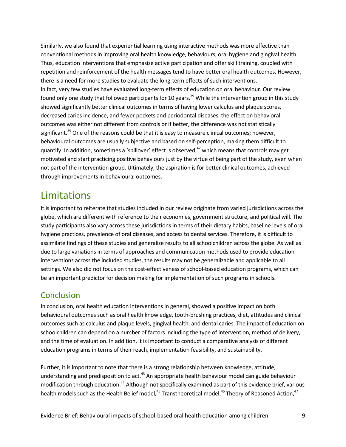Similarly, we also found that experiential learning using interactive methods was more effective than conventional methods in improving oral health knowledge, behaviours, oral hygiene and gingival health. Thus, education interventions that emphasize active participation and offer skill training, coupled with repetition and reinforcement of the health messages tend to have better oral health outcomes. However, there is a need for more studies to evaluate the long-term effects of such interventions. In fact, very few studies have evaluated long-term effects of education on oral behaviour. Our review found only one study that followed participants for 10 years.<sup>39</sup> While the intervention group in this study showed significantly better clinical outcomes in terms of having lower calculus and plaque scores, decreased caries incidence, and fewer pockets and periodontal diseases, the effect on behavioral outcomes was either not different from controls or if better, the difference was not statistically significant.<sup>39</sup> One of the reasons could be that it is easy to measure clinical outcomes; however, behavioural outcomes are usually subjective and based on self-perception, making them difficult to quantify. In addition, sometimes a 'spillover' effect is observed,<sup>42</sup> which means that controls may get motivated and start practicing positive behaviours just by the virtue of being part of the study, even when not part of the intervention group. Ultimately, the aspiration is for better clinical outcomes, achieved through improvements in behavioural outcomes.

#### Limitations

 It is important to reiterate that studies included in our review originate from varied jurisdictions across the globe, which are different with reference to their economies, government structure, and political will. The study participants also vary across these jurisdictions in terms of their dietary habits, baseline levels of oral hygiene practices, prevalence of oral diseases, and access to dental services. Therefore, it is difficult to assimilate findings of these studies and generalize results to all schoolchildren across the globe. As well as due to large variations in terms of approaches and communication methods used to provide education interventions across the included studies, the results may not be generalizable and applicable to all settings. We also did not focus on the cost-effectiveness of school-based education programs, which can be an important predictor for decision making for implementation of such programs in schools.

#### **Conclusion**

 In conclusion, oral health education interventions in general, showed a positive impact on both behavioural outcomes such as oral health knowledge, tooth-brushing practices, diet, attitudes and clinical outcomes such as calculus and plaque levels, gingival health, and dental caries. The impact of education on schoolchildren can depend on a number of factors including the type of intervention, method of delivery, and the time of evaluation. In addition, it is important to conduct a comparative analysis of different education programs in terms of their reach, implementation feasibility, and sustainability.

 Further, it is important to note that there is a strong relationship between knowledge, attitude, understanding and predisposition to act.<sup>43</sup> An appropriate health behaviour model can guide behaviour modification through education.<sup>44</sup> Although not specifically examined as part of this evidence brief, various health models such as the Health Belief model,<sup>45</sup> Transtheoretical model,<sup>46</sup> Theory of Reasoned Action,<sup>47</sup>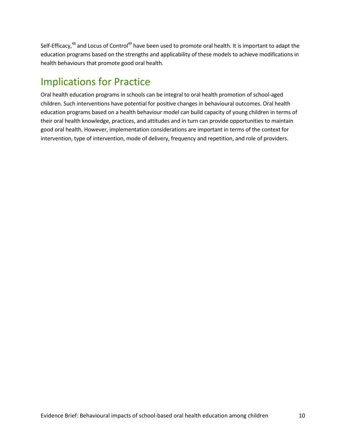Self-Efficacy,<sup>48</sup> and Locus of Control<sup>49</sup> have been used to promote oral health. It is important to adapt the education programs based on the strengths and applicability of these models to achieve modifications in health behaviours that promote good oral health.

## Implications for Practice

 children. Such interventions have potential for positive changes in behavioural outcomes. Oral health education programs based on a health behaviour model can build capacity of young children in terms of their oral health knowledge, practices, and attitudes and in turn can provide opportunities to maintain good oral health. However, implementation considerations are important in terms of the context for intervention, type of intervention, mode of delivery, frequency and repetition, and role of providers. Oral health education programs in schools can be integral to oral health promotion of school-aged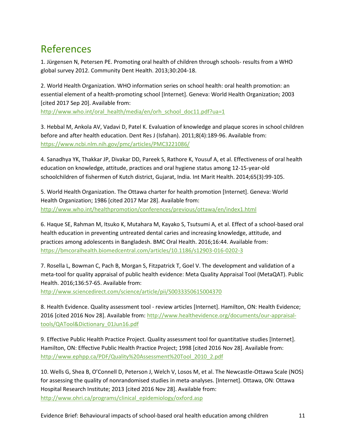## References

1. Jürgensen N, Petersen PE. Promoting oral health of children through schools- results from a WHO global survey 2012. Community Dent Health. 2013;30:204-18.

2. World Health Organization. WHO information series on school health: oral health promotion: an essential element of a health-promoting school [Internet]. Geneva: World Health Organization; 2003 [cited 2017 Sep 20]. Available from:

http://www.who.int/oral\_health/media/en/orh\_school\_doc11.pdf?ua=1

3. Hebbal M, Ankola AV, Vadavi D, Patel K. Evaluation of knowledge and plaque scores in school children before and after health education. Dent Res J (Isfahan). 2011;8(4):189-96. Available from: <https://www.ncbi.nlm.nih.gov/pmc/articles/PMC3221086/>

4. Sanadhya YK, Thakkar JP, Divakar DD, Pareek S, Rathore K, Yousuf A, et al. Effectiveness of oral health education on knowledge, attitude, practices and oral hygiene status among 12-15-year-old schoolchildren of fishermen of Kutch district, Gujarat, India. Int Marit Health. 2014;65(3):99-105.

 5. World Health Organization. The Ottawa charter for health promotion [Internet]. Geneva: World Health Organization; 1986 [cited 2017 Mar 28]. Available from: <http://www.who.int/healthpromotion/conferences/previous/ottawa/en/index1.html>

6. Haque SE, Rahman M, Itsuko K, Mutahara M, Kayako S, Tsutsumi A, et al. Effect of a school-based oral health education in preventing untreated dental caries and increasing knowledge, attitude, and practices among adolescents in Bangladesh. BMC Oral Health. 2016;16:44. Available from: <https://bmcoralhealth.biomedcentral.com/articles/10.1186/s12903-016-0202-3>

 7. Rosella L, Bowman C, Pach B, Morgan S, Fitzpatrick T, Goel V. The development and validation of a meta-tool for quality appraisal of public health evidence: Meta Quality Appraisal Tool (MetaQAT). Public Health. 2016;136:57-65. Available from:

<http://www.sciencedirect.com/science/article/pii/S0033350615004370>

 8. Health Evidence. Quality assessment tool - review articles [Internet]. Hamilton, ON: Health Evidence; 2016 [cited 2016 Nov 28]. Available from: <u>http://www.healthevidence.org/documents/our-appraisal</u> [tools/QATool&Dictionary\\_01Jun16.pdf](http://www.healthevidence.org/documents/our-appraisal-tools/QATool&Dictionary_01Jun16.pdf) 

9. Effective Public Health Practice Project. Quality assessment tool for quantitative studies [Internet]. Hamilton, ON: Effective Public Health Practice Project; 1998 [cited 2016 Nov 28]. Available from: [http://www.ephpp.ca/PDF/Quality%20Assessment%20Tool\\_2010\\_2.pdf](http://www.ephpp.ca/PDF/Quality%20Assessment%20Tool_2010_2.pdf) 

10. Wells G, Shea B, O'Connell D, Peterson J, Welch V, Losos M, et al. The Newcastle-Ottawa Scale (NOS) for assessing the quality of nonrandomised studies in meta-analyses. [Internet]. Ottawa, ON: Ottawa Hospital Research Institute; 2013 [cited 2016 Nov 28]. Available from: [http://www.ohri.ca/programs/clinical\\_epidemiology/oxford.asp](http://www.ohri.ca/programs/clinical_epidemiology/oxford.asp)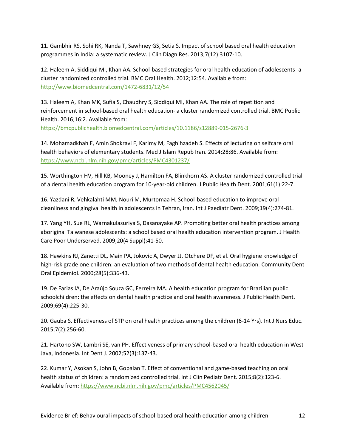11. Gambhir RS, Sohi RK, Nanda T, Sawhney GS, Setia S. Impact of school based oral health education programmes in India: a systematic review. J Clin Diagn Res. 2013;7(12):3107-10.

12. Haleem A, Siddiqui MI, Khan AA. School-based strategies for oral health education of adolescents- a cluster randomized controlled trial. BMC Oral Health. 2012;12:54. Available from: <http://www.biomedcentral.com/1472-6831/12/54>

 13. Haleem A, Khan MK, Sufia S, Chaudhry S, Siddiqui MI, Khan AA. The role of repetition and reinforcement in school-based oral health education- a cluster randomized controlled trial. BMC Public Health. 2016;16:2. Available from:

<https://bmcpublichealth.biomedcentral.com/articles/10.1186/s12889-015-2676-3>

14. Mohamadkhah F, Amin Shokravi F, Karimy M, Faghihzadeh S. Effects of lecturing on selfcare oral health behaviors of elementary students. Med J Islam Repub Iran. 2014;28:86. Available from: <https://www.ncbi.nlm.nih.gov/pmc/articles/PMC4301237/>

 of a dental health education program for 10-year-old children. J Public Health Dent. 2001;61(1):22-7. 15. Worthington HV, Hill KB, Mooney J, Hamilton FA, Blinkhorn AS. A cluster randomized controlled trial

16. Yazdani R, Vehkalahti MM, Nouri M, Murtomaa H. School-based education to improve oral cleanliness and gingival health in adolescents in Tehran, Iran. Int J Paediatr Dent. 2009;19(4):274-81.

17. Yang YH, Sue RL, Warnakulasuriya S, Dasanayake AP. Promoting better oral health practices among aboriginal Taiwanese adolescents: a school based oral health education intervention program. J Health Care Poor Underserved. 2009;20(4 Suppl):41-50.

 high-risk grade one children: an evaluation of two methods of dental health education. Community Dent 18. Hawkins RJ, Zanetti DL, Main PA, Jokovic A, Dwyer JJ, Otchere DF, et al. Oral hygiene knowledge of Oral Epidemiol. 2000;28(5):336-43.

 19. De Farias IA, De Araújo Souza GC, Ferreira MA. A health education program for Brazilian public schoolchildren: the effects on dental health practice and oral health awareness. J Public Health Dent. 2009;69(4):225-30.

20. Gauba S. Effectiveness of STP on oral health practices among the children (6-14 Yrs). Int J Nurs Educ. 2015;7(2):256-60.

21. Hartono SW, Lambri SE, van PH. Effectiveness of primary school-based oral health education in West Java, Indonesia. Int Dent J. 2002;52(3):137-43.

 22. Kumar Y, Asokan S, John B, Gopalan T. Effect of conventional and game-based teaching on oral health status of children: a randomized controlled trial. Int J Clin Pediatr Dent. 2015;8(2):123-6. Available from[: https://www.ncbi.nlm.nih.gov/pmc/articles/PMC4562045/](https://www.ncbi.nlm.nih.gov/pmc/articles/PMC4562045/)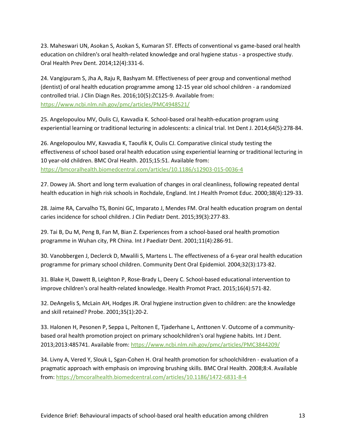education on children's oral health-related knowledge and oral hygiene status - a prospective study. 23. Maheswari UN, Asokan S, Asokan S, Kumaran ST. Effects of conventional vs game-based oral health Oral Health Prev Dent. 2014;12(4):331-6.

 (dentist) of oral health education programme among 12-15 year old school children - a randomized 24. Vangipuram S, Jha A, Raju R, Bashyam M. Effectiveness of peer group and conventional method controlled trial. J Clin Diagn Res. 2016;10(5):ZC125-9. Available from: <https://www.ncbi.nlm.nih.gov/pmc/articles/PMC4948521/>

25. Angelopoulou MV, Oulis CJ, Kavvadia K. School-based oral health-education program using experiential learning or traditional lecturing in adolescents: a clinical trial. Int Dent J. 2014;64(5):278-84.

26. Angelopoulou MV, Kavvadia K, Taoufik K, Oulis CJ. Comparative clinical study testing the effectiveness of school based oral health education using experiential learning or traditional lecturing in 10 year-old children. BMC Oral Health. 2015;15:51. Available from: <https://bmcoralhealth.biomedcentral.com/articles/10.1186/s12903-015-0036-4>

27. Dowey JA. Short and long term evaluation of changes in oral cleanliness, following repeated dental health education in high risk schools in Rochdale, England. Int J Health Promot Educ. 2000;38(4):129-33.

 28. Jaime RA, Carvalho TS, Bonini GC, Imparato J, Mendes FM. Oral health education program on dental caries incidence for school children. J Clin Pediatr Dent. 2015;39(3):277-83.

29. Tai B, Du M, Peng B, Fan M, Bian Z. Experiences from a school-based oral health promotion programme in Wuhan city, PR China. Int J Paediatr Dent. 2001;11(4):286-91.

30. Vanobbergen J, Declerck D, Mwalili S, Martens L. The effectiveness of a 6-year oral health education programme for primary school children. Community Dent Oral Epidemiol. 2004;32(3):173-82.

 31. Blake H, Dawett B, Leighton P, Rose-Brady L, Deery C. School-based educational intervention to improve children's oral health-related knowledge. Health Promot Pract. 2015;16(4):571-82.

32. DeAngelis S, McLain AH, Hodges JR. Oral hygiene instruction given to children: are the knowledge and skill retained? Probe. 2001;35(1):20-2.

33. Halonen H, Pesonen P, Seppa L, Peltonen E, Tjaderhane L, Anttonen V. Outcome of a communitybased oral health promotion project on primary schoolchildren's oral hygiene habits. Int J Dent. 2013;2013:485741. Available from[: https://www.ncbi.nlm.nih.gov/pmc/articles/PMC3844209/](https://www.ncbi.nlm.nih.gov/pmc/articles/PMC3844209/) 

34. Livny A, Vered Y, Slouk L, Sgan-Cohen H. Oral health promotion for schoolchildren - evaluation of a pragmatic approach with emphasis on improving brushing skills. BMC Oral Health. 2008;8:4. Available from:<https://bmcoralhealth.biomedcentral.com/articles/10.1186/1472-6831-8-4>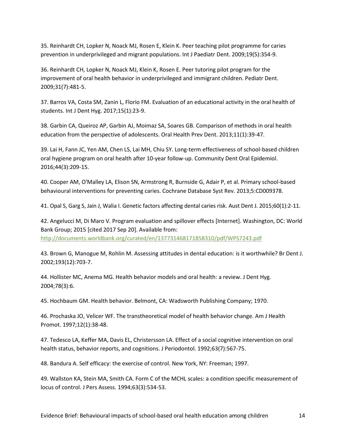35. Reinhardt CH, Lopker N, Noack MJ, Rosen E, Klein K. Peer teaching pilot programme for caries prevention in underprivileged and migrant populations. Int J Paediatr Dent. 2009;19(5):354-9.

36. Reinhardt CH, Lopker N, Noack MJ, Klein K, Rosen E. Peer tutoring pilot program for the improvement of oral health behavior in underprivileged and immigrant children. Pediatr Dent. 2009;31(7):481-5.

 students. Int J Dent Hyg. 2017;15(1):23-9. 37. Barros VA, Costa SM, Zanin L, Florio FM. Evaluation of an educational activity in the oral health of

38. Garbin CA, Queiroz AP, Garbin AJ, Moimaz SA, Soares GB. Comparison of methods in oral health education from the perspective of adolescents. Oral Health Prev Dent. 2013;11(1):39-47.

39. Lai H, Fann JC, Yen AM, Chen LS, Lai MH, Chiu SY. Long-term effectiveness of school-based children oral hygiene program on oral health after 10-year follow-up. Community Dent Oral Epidemiol. 2016;44(3):209-15.

40. Cooper AM, O'Malley LA, Elison SN, Armstrong R, Burnside G, Adair P, et al. Primary school-based behavioural interventions for preventing caries. Cochrane Database Syst Rev. 2013;5:CD009378.

41. Opal S, Garg S, Jain J, Walia I. Genetic factors affecting dental caries risk. Aust Dent J. 2015;60(1):2-11.

 42. Angelucci M, Di Maro V. Program evaluation and spillover effects [Internet]. Washington, DC: World http://documents.worldbank.org/curated/en/137731468171858310/pdf/WPS7243.pdf Bank Group; 2015 [cited 2017 Sep 20]. Available from:

A3. Brown G, Manogue M, Rohlin M. Assessing attitudes in dental education: is it worthwhile? Br Dent J. 2002;193(12):703-7.

44. Hollister MC, Anema MG. Health behavior models and oral health: a review. J Dent Hyg. 2004;78(3):6.

45. Hochbaum GM. Health behavior. Belmont, CA: Wadsworth Publishing Company; 1970.

46. Prochaska JO, Velicer WF. The transtheoretical model of health behavior change. Am J Health Promot. 1997;12(1):38-48.

 47. Tedesco LA, Keffer MA, Davis EL, Christersson LA. Effect of a social cognitive intervention on oral health status, behavior reports, and cognitions. J Periodontol. 1992;63(7):567-75.

48. Bandura A. Self efficacy: the exercise of control. New York, NY: Freeman; 1997.

49. Wallston KA, Stein MA, Smith CA. Form C of the MCHL scales: a condition specific measurement of locus of control. J Pers Assess. 1994;63(3):534-53.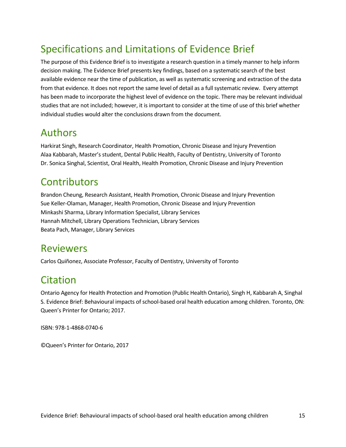# Specifications and Limitations of Evidence Brief

 decision making. The Evidence Brief presents key findings, based on a systematic search of the best available evidence near the time of publication, as well as systematic screening and extraction of the data from that evidence. It does not report the same level of detail as a full systematic review. Every attempt has been made to incorporate the highest level of evidence on the topic. There may be relevant individual studies that are not included; however, it is important to consider at the time of use of this brief whether individual studies would alter the conclusions drawn from the document. The purpose of this Evidence Brief is to investigate a research question in a timely manner to help inform

## Authors

 Harkirat Singh, Research Coordinator, Health Promotion, Chronic Disease and Injury Prevention Alaa Kabbarah, Master's student, Dental Public Health, Faculty of Dentistry, University of Toronto Dr. Sonica Singhal, Scientist, Oral Health, Health Promotion, Chronic Disease and Injury Prevention

## **Contributors**

 Brandon Cheung, Research Assistant, Health Promotion, Chronic Disease and Injury Prevention Sue Keller-Olaman, Manager, Health Promotion, Chronic Disease and Injury Prevention Minkashi Sharma, Library Information Specialist, Library Services Hannah Mitchell, Library Operations Technician, Library Services Beata Pach, Manager, Library Services

## Reviewers

Carlos Quiñonez, Associate Professor, Faculty of Dentistry, University of Toronto

# Citation

 Ontario Agency for Health Protection and Promotion (Public Health Ontario), Singh H, Kabbarah A, Singhal S. Evidence Brief: Behavioural impacts of school-based oral health education among children. Toronto, ON: Queen's Printer for Ontario; 2017.

ISBN: 978-1-4868-0740-6

©Queen's Printer for Ontario, 2017